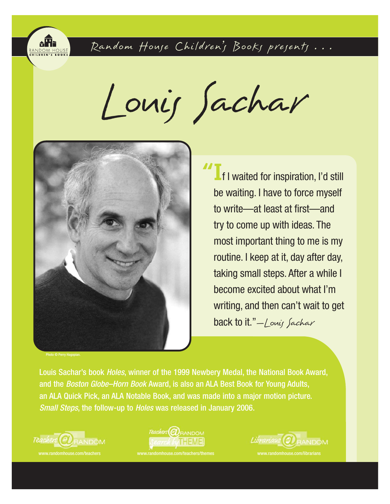

Random House Children's Books presents...

Louis Sachar



Photo © Perry Hagopian

**"I**f I waited for inspiration, I'd still be waiting. I have to force myself to write—at least at first—and try to come up with ideas. The most important thing to me is my routine. I keep at it, day after day, taking small steps. After a while I become excited about what I'm writing, and then can't wait to get back to it."-Louis Sachar

Louis Sachar's book Holes, winner of the 1999 Newbery Medal, the National Book Award, and the Boston Globe–Horn Book Award, is also an ALA Best Book for Young Adults, an ALA Quick Pick, an ALA Notable Book, and was made into a major motion picture. Small Steps, the follow-up to Holes was released in January 2006.







www.randomhouse.com/librarians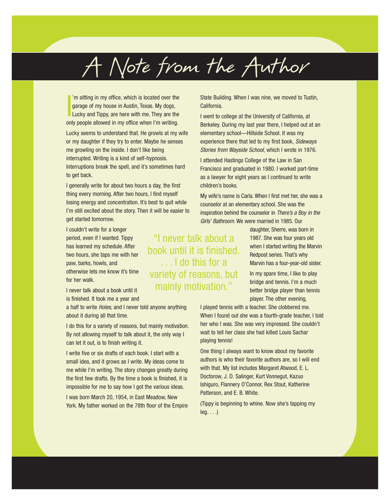# A Note from the Author

I 'm sitting in my office, which is located over the garage of my house in Austin, Texas. My dogs, Lucky and Tippy, are here with me. They are the only people allowed in my office when I'm writing.

Lucky seems to understand that. He growls at my wife or my daughter if they try to enter. Maybe he senses me growling on the inside. I don't like being interrupted. Writing is a kind of self-hypnosis. Interruptions break the spell, and it's sometimes hard to get back.

I generally write for about two hours a day, the first thing every morning. After two hours, I find myself losing energy and concentration. It's best to quit while I'm still excited about the story. Then it will be easier to get started tomorrow.

I couldn't write for a longer period, even if I wanted. Tippy has learned my schedule. After two hours, she taps me with her paw, barks, howls, and otherwise lets me know it's time for her walk.

I never talk about a book until it is finished. It took me a year and

a half to write *Holes*, and I never told anyone anything about it during all that time.

I do this for a variety of reasons, but mainly motivation. By not allowing myself to talk about it, the only way I can let it out, is to finish writing it.

I write five or six drafts of each book. I start with a small idea, and it grows as I write. My ideas come to me while I'm writing. The story changes greatly during the first few drafts. By the time a book is finished, it is impossible for me to say how I got the various ideas.

I was born March 20, 1954, in East Meadow, New York. My father worked on the 78th floor of the Empire State Building. When I was nine, we moved to Tustin, California.

I went to college at the University of California, at Berkeley. During my last year there, I helped out at an elementary school—Hillside School. It was my experience there that led to my first book, Sideways Stories from Wayside School, which I wrote in 1976.

I attended Hastings College of the Law in San Francisco and graduated in 1980. I worked part-time as a lawyer for eight years as I continued to write children's books.

My wife's name is Carla. When I first met her, she was a counselor at an elementary school. She was the inspiration behind the counselor in There's a Boy in the Girls' Bathroom. We were married in 1985. Our

> daughter, Sherre, was born in 1987. She was four years old when I started writing the Marvin Redpost series. That's why Marvin has a four-year-old sister.

In my spare time, I like to play bridge and tennis. I'm a much better bridge player than tennis player. The other evening,

I played tennis with a teacher. She clobbered me. When I found out she was a fourth-grade teacher, I told her who I was. She was very impressed. She couldn't wait to tell her class she had killed Louis Sachar playing tennis!

One thing I always want to know about my favorite authors is who their favorite authors are, so I will end with that. My list includes Margaret Atwood, E. L. Doctorow, J. D. Salinger, Kurt Vonnegut, Kazuo Ishiguro, Flannery O'Connor, Rex Stout, Katherine Patterson, and E. B. White.

(Tippy is beginning to whine. Now she's tapping my  $leg. . . .)$ 

"I never talk about a book until it is finished. . . . I do this for a variety of reasons, but mainly motivation."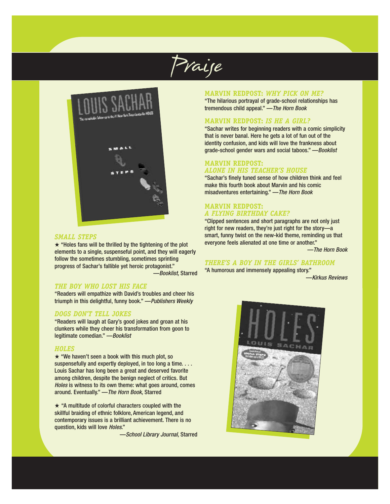Praise



#### *SMALL STEPS*

★ "Holes fans will be thrilled by the tightening of the plot elements to a single, suspenseful point, and they will eagerly follow the sometimes stumbling, sometimes sprinting progress of Sachar's fallible yet heroic protagonist." —Booklist, Starred

*THE BOY WHO LOST HIS FACE*

"Readers will empathize with David's troubles and cheer his triumph in this delightful, funny book." —Publishers Weekly

#### *DOGS DON'T TELL JOKES*

"Readers will laugh at Gary's good jokes and groan at his clunkers while they cheer his transformation from goon to legitimate comedian." —Booklist

#### *HOLES*

 $\star$  "We haven't seen a book with this much plot, so suspensefully and expertly deployed, in too long a time. . . . Louis Sachar has long been a great and deserved favorite among children, despite the benign neglect of critics. But Holes is witness to its own theme: what goes around, comes around. Eventually." —The Horn Book, Starred

★ "A multitude of colorful characters coupled with the skillful braiding of ethnic folklore, American legend, and contemporary issues is a brilliant achievement. There is no question, kids will love Holes."

—School Library Journal, Starred

## **MARVIN REDPOST:** *WHY PICK ON ME?*

"The hilarious portrayal of grade-school relationships has tremendous child appeal." —The Horn Book

## **MARVIN REDPOST:** *IS HE A GIRL?*

"Sachar writes for beginning readers with a comic simplicity that is never banal. Here he gets a lot of fun out of the identity confusion, and kids will love the frankness about grade-school gender wars and social taboos." —Booklist

#### **MARVIN REDPOST:**  *ALONE IN HIS TEACHER'S HOUSE*

"Sachar's finely tuned sense of how children think and feel make this fourth book about Marvin and his comic misadventures entertaining." —The Horn Book

## **MARVIN REDPOST:** *A FLYING BIRTHDAY CAKE?*

"Clipped sentences and short paragraphs are not only just right for new readers, they're just right for the story—a smart, funny twist on the new-kid theme, reminding us that everyone feels alienated at one time or another."

—The Horn Book

## *THERE'S A BOY IN THE GIRLS' BATHROOM*

"A humorous and immensely appealing story."

—Kirkus Reviews